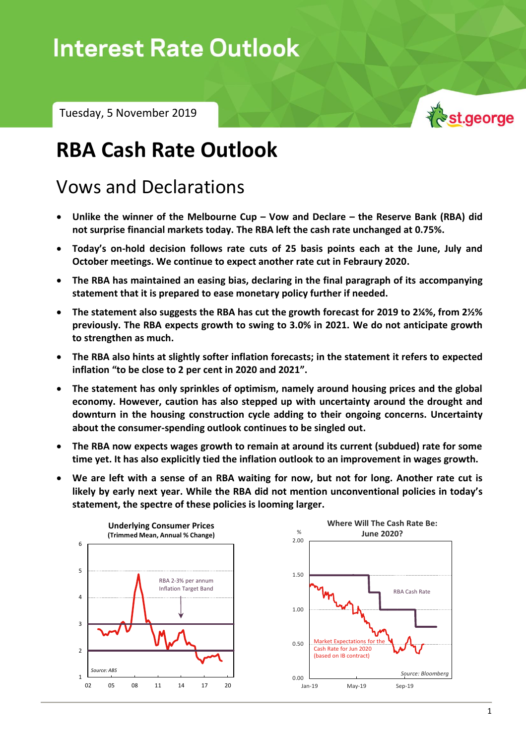# **Interest Rate Outlook**

Tuesday, 5 November 2019



## **RBA Cash Rate Outlook**

### Vows and Declarations

- **Unlike the winner of the Melbourne Cup – Vow and Declare – the Reserve Bank (RBA) did not surprise financial markets today. The RBA left the cash rate unchanged at 0.75%.**
- **Today's on-hold decision follows rate cuts of 25 basis points each at the June, July and October meetings. We continue to expect another rate cut in Febraury 2020.**
- **The RBA has maintained an easing bias, declaring in the final paragraph of its accompanying statement that it is prepared to ease monetary policy further if needed.**
- **The statement also suggests the RBA has cut the growth forecast for 2019 to 2¼%, from 2½% previously. The RBA expects growth to swing to 3.0% in 2021. We do not anticipate growth to strengthen as much.**
- **The RBA also hints at slightly softer inflation forecasts; in the statement it refers to expected inflation "to be close to 2 per cent in 2020 and 2021".**
- **The statement has only sprinkles of optimism, namely around housing prices and the global economy. However, caution has also stepped up with uncertainty around the drought and downturn in the housing construction cycle adding to their ongoing concerns. Uncertainty about the consumer-spending outlook continues to be singled out.**
- **The RBA now expects wages growth to remain at around its current (subdued) rate for some time yet. It has also explicitly tied the inflation outlook to an improvement in wages growth.**
- **We are left with a sense of an RBA waiting for now, but not for long. Another rate cut is likely by early next year. While the RBA did not mention unconventional policies in today's statement, the spectre of these policies is looming larger.**

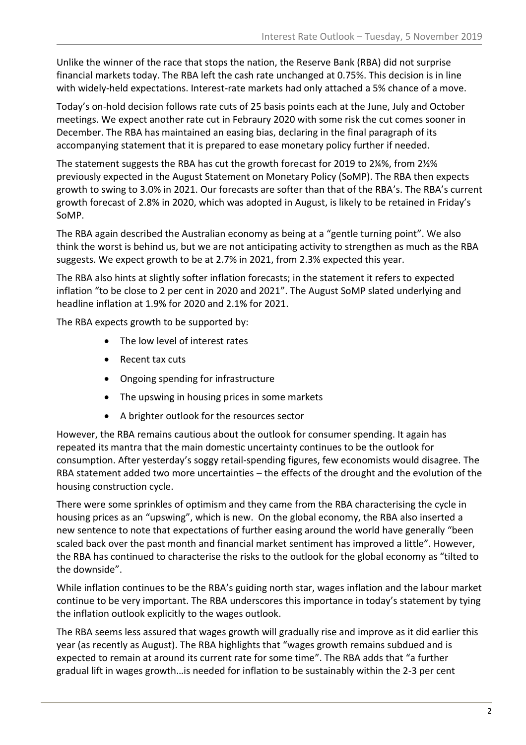Unlike the winner of the race that stops the nation, the Reserve Bank (RBA) did not surprise financial markets today. The RBA left the cash rate unchanged at 0.75%. This decision is in line with widely-held expectations. Interest-rate markets had only attached a 5% chance of a move.

Today's on-hold decision follows rate cuts of 25 basis points each at the June, July and October meetings. We expect another rate cut in Febraury 2020 with some risk the cut comes sooner in December. The RBA has maintained an easing bias, declaring in the final paragraph of its accompanying statement that it is prepared to ease monetary policy further if needed.

The statement suggests the RBA has cut the growth forecast for 2019 to 2¼%, from 2½% previously expected in the August Statement on Monetary Policy (SoMP). The RBA then expects growth to swing to 3.0% in 2021. Our forecasts are softer than that of the RBA's. The RBA's current growth forecast of 2.8% in 2020, which was adopted in August, is likely to be retained in Friday's SoMP.

The RBA again described the Australian economy as being at a "gentle turning point". We also think the worst is behind us, but we are not anticipating activity to strengthen as much as the RBA suggests. We expect growth to be at 2.7% in 2021, from 2.3% expected this year.

The RBA also hints at slightly softer inflation forecasts; in the statement it refers to expected inflation "to be close to 2 per cent in 2020 and 2021". The August SoMP slated underlying and headline inflation at 1.9% for 2020 and 2.1% for 2021.

The RBA expects growth to be supported by:

- The low level of interest rates
- Recent tax cuts
- Ongoing spending for infrastructure
- The upswing in housing prices in some markets
- A brighter outlook for the resources sector

However, the RBA remains cautious about the outlook for consumer spending. It again has repeated its mantra that the main domestic uncertainty continues to be the outlook for consumption. After yesterday's soggy retail-spending figures, few economists would disagree. The RBA statement added two more uncertainties – the effects of the drought and the evolution of the housing construction cycle.

There were some sprinkles of optimism and they came from the RBA characterising the cycle in housing prices as an "upswing", which is new. On the global economy, the RBA also inserted a new sentence to note that expectations of further easing around the world have generally "been scaled back over the past month and financial market sentiment has improved a little". However, the RBA has continued to characterise the risks to the outlook for the global economy as "tilted to the downside".

While inflation continues to be the RBA's guiding north star, wages inflation and the labour market continue to be very important. The RBA underscores this importance in today's statement by tying the inflation outlook explicitly to the wages outlook.

The RBA seems less assured that wages growth will gradually rise and improve as it did earlier this year (as recently as August). The RBA highlights that "wages growth remains subdued and is expected to remain at around its current rate for some time". The RBA adds that "a further gradual lift in wages growth…is needed for inflation to be sustainably within the 2-3 per cent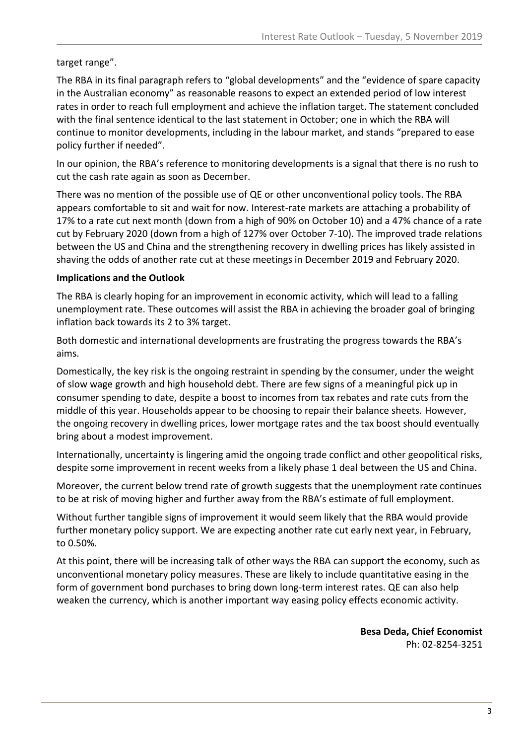target range".

The RBA in its final paragraph refers to "global developments" and the "evidence of spare capacity in the Australian economy" as reasonable reasons to expect an extended period of low interest rates in order to reach full employment and achieve the inflation target. The statement concluded with the final sentence identical to the last statement in October; one in which the RBA will continue to monitor developments, including in the labour market, and stands "prepared to ease policy further if needed".

In our opinion, the RBA's reference to monitoring developments is a signal that there is no rush to cut the cash rate again as soon as December.

There was no mention of the possible use of QE or other unconventional policy tools. The RBA appears comfortable to sit and wait for now. Interest-rate markets are attaching a probability of 17% to a rate cut next month (down from a high of 90% on October 10) and a 47% chance of a rate cut by February 2020 (down from a high of 127% over October 7-10). The improved trade relations between the US and China and the strengthening recovery in dwelling prices has likely assisted in shaving the odds of another rate cut at these meetings in December 2019 and February 2020.

#### **Implications and the Outlook**

The RBA is clearly hoping for an improvement in economic activity, which will lead to a falling unemployment rate. These outcomes will assist the RBA in achieving the broader goal of bringing inflation back towards its 2 to 3% target.

Both domestic and international developments are frustrating the progress towards the RBA's aims.

Domestically, the key risk is the ongoing restraint in spending by the consumer, under the weight of slow wage growth and high household debt. There are few signs of a meaningful pick up in consumer spending to date, despite a boost to incomes from tax rebates and rate cuts from the middle of this year. Households appear to be choosing to repair their balance sheets. However, the ongoing recovery in dwelling prices, lower mortgage rates and the tax boost should eventually bring about a modest improvement.

Internationally, uncertainty is lingering amid the ongoing trade conflict and other geopolitical risks, despite some improvement in recent weeks from a likely phase 1 deal between the US and China.

Moreover, the current below trend rate of growth suggests that the unemployment rate continues to be at risk of moving higher and further away from the RBA's estimate of full employment.

Without further tangible signs of improvement it would seem likely that the RBA would provide further monetary policy support. We are expecting another rate cut early next year, in February, to 0.50%.

At this point, there will be increasing talk of other ways the RBA can support the economy, such as unconventional monetary policy measures. These are likely to include quantitative easing in the form of government bond purchases to bring down long-term interest rates. QE can also help weaken the currency, which is another important way easing policy effects economic activity.

> **Besa Deda, Chief Economist** Ph: 02-8254-3251